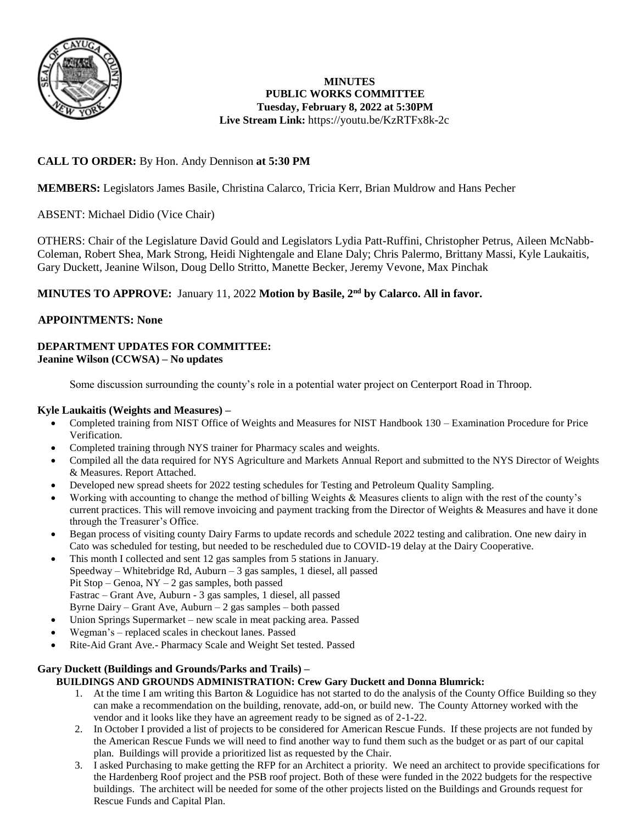

# **MINUTES PUBLIC WORKS COMMITTEE Tuesday, February 8, 2022 at 5:30PM Live Stream Link:** <https://youtu.be/KzRTFx8k-2c>

# **CALL TO ORDER:** By Hon. Andy Dennison **at 5:30 PM**

**MEMBERS:** Legislators James Basile, Christina Calarco, Tricia Kerr, Brian Muldrow and Hans Pecher

ABSENT: Michael Didio (Vice Chair)

OTHERS: Chair of the Legislature David Gould and Legislators Lydia Patt-Ruffini, Christopher Petrus, Aileen McNabb-Coleman, Robert Shea, Mark Strong, Heidi Nightengale and Elane Daly; Chris Palermo, Brittany Massi, Kyle Laukaitis, Gary Duckett, Jeanine Wilson, Doug Dello Stritto, Manette Becker, Jeremy Vevone, Max Pinchak

# **MINUTES TO APPROVE:** January 11, 2022 **Motion by Basile, 2nd by Calarco. All in favor.**

# **APPOINTMENTS: None**

### **DEPARTMENT UPDATES FOR COMMITTEE: Jeanine Wilson (CCWSA) – No updates**

Some discussion surrounding the county's role in a potential water project on Centerport Road in Throop.

#### **Kyle Laukaitis (Weights and Measures) –**

- Completed training from NIST Office of Weights and Measures for NIST Handbook 130 Examination Procedure for Price Verification.
- Completed training through NYS trainer for Pharmacy scales and weights.
- Compiled all the data required for NYS Agriculture and Markets Annual Report and submitted to the NYS Director of Weights & Measures. Report Attached.
- Developed new spread sheets for 2022 testing schedules for Testing and Petroleum Quality Sampling.
- Working with accounting to change the method of billing Weights & Measures clients to align with the rest of the county's current practices. This will remove invoicing and payment tracking from the Director of Weights & Measures and have it done through the Treasurer's Office.
- Began process of visiting county Dairy Farms to update records and schedule 2022 testing and calibration. One new dairy in Cato was scheduled for testing, but needed to be rescheduled due to COVID-19 delay at the Dairy Cooperative.
- This month I collected and sent 12 gas samples from 5 stations in January. Speedway – Whitebridge Rd, Auburn – 3 gas samples, 1 diesel, all passed Pit Stop – Genoa, NY – 2 gas samples, both passed Fastrac – Grant Ave, Auburn - 3 gas samples, 1 diesel, all passed Byrne Dairy – Grant Ave, Auburn – 2 gas samples – both passed
- Union Springs Supermarket new scale in meat packing area. Passed
- Wegman's replaced scales in checkout lanes. Passed
- Rite-Aid Grant Ave.- Pharmacy Scale and Weight Set tested. Passed

# **Gary Duckett (Buildings and Grounds/Parks and Trails) –**

#### **BUILDINGS AND GROUNDS ADMINISTRATION: Crew Gary Duckett and Donna Blumrick:**

- 1. At the time I am writing this Barton & Loguidice has not started to do the analysis of the County Office Building so they can make a recommendation on the building, renovate, add-on, or build new. The County Attorney worked with the vendor and it looks like they have an agreement ready to be signed as of 2-1-22.
- 2. In October I provided a list of projects to be considered for American Rescue Funds. If these projects are not funded by the American Rescue Funds we will need to find another way to fund them such as the budget or as part of our capital plan. Buildings will provide a prioritized list as requested by the Chair.
- 3. I asked Purchasing to make getting the RFP for an Architect a priority. We need an architect to provide specifications for the Hardenberg Roof project and the PSB roof project. Both of these were funded in the 2022 budgets for the respective buildings. The architect will be needed for some of the other projects listed on the Buildings and Grounds request for Rescue Funds and Capital Plan.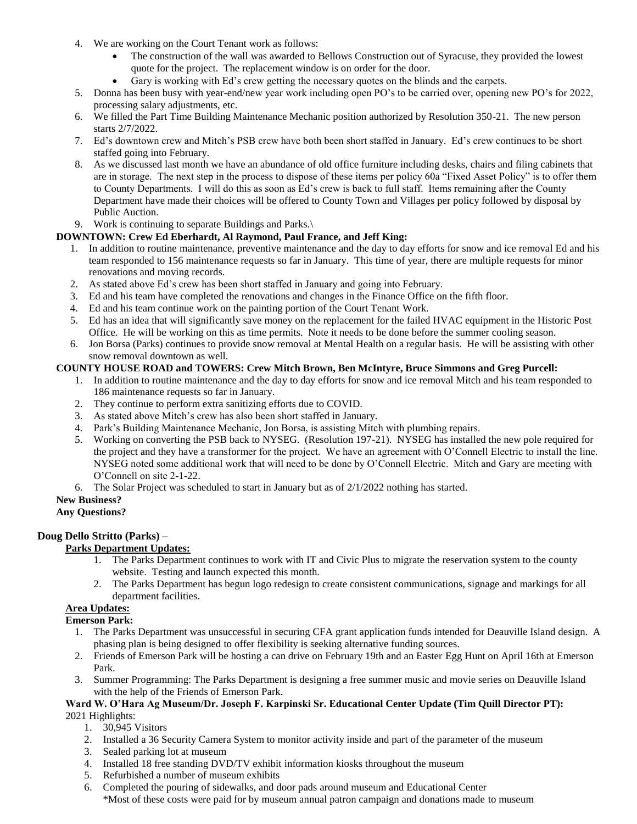- 4. We are working on the Court Tenant work as follows:
	- The construction of the wall was awarded to Bellows Construction out of Syracuse, they provided the lowest quote for the project. The replacement window is on order for the door.
	- Gary is working with Ed's crew getting the necessary quotes on the blinds and the carpets.
- 5. Donna has been busy with year-end/new year work including open PO's to be carried over, opening new PO's for 2022, processing salary adjustments, etc.
- 6. We filled the Part Time Building Maintenance Mechanic position authorized by Resolution 350-21. The new person starts 2/7/2022.
- 7. Ed's downtown crew and Mitch's PSB crew have both been short staffed in January. Ed's crew continues to be short staffed going into February.
- 8. As we discussed last month we have an abundance of old office furniture including desks, chairs and filing cabinets that are in storage. The next step in the process to dispose of these items per policy 60a "Fixed Asset Policy" is to offer them to County Departments. I will do this as soon as Ed's crew is back to full staff. Items remaining after the County Department have made their choices will be offered to County Town and Villages per policy followed by disposal by Public Auction.
- 9. Work is continuing to separate Buildings and Parks.\

#### **DOWNTOWN: Crew Ed Eberhardt, Al Raymond, Paul France, and Jeff King:**

- 1. In addition to routine maintenance, preventive maintenance and the day to day efforts for snow and ice removal Ed and his team responded to 156 maintenance requests so far in January. This time of year, there are multiple requests for minor renovations and moving records.
- 2. As stated above Ed's crew has been short staffed in January and going into February.
- 3. Ed and his team have completed the renovations and changes in the Finance Office on the fifth floor.
- 4. Ed and his team continue work on the painting portion of the Court Tenant Work.
- 5. Ed has an idea that will significantly save money on the replacement for the failed HVAC equipment in the Historic Post Office. He will be working on this as time permits. Note it needs to be done before the summer cooling season.
- 6. Jon Borsa (Parks) continues to provide snow removal at Mental Health on a regular basis. He will be assisting with other snow removal downtown as well.

#### **COUNTY HOUSE ROAD and TOWERS: Crew Mitch Brown, Ben McIntyre, Bruce Simmons and Greg Purcell:**

- 1. In addition to routine maintenance and the day to day efforts for snow and ice removal Mitch and his team responded to 186 maintenance requests so far in January.
- 2. They continue to perform extra sanitizing efforts due to COVID.
- 3. As stated above Mitch's crew has also been short staffed in January.
- 4. Park's Building Maintenance Mechanic, Jon Borsa, is assisting Mitch with plumbing repairs.
- 5. Working on converting the PSB back to NYSEG. (Resolution 197-21). NYSEG has installed the new pole required for the project and they have a transformer for the project. We have an agreement with O'Connell Electric to install the line. NYSEG noted some additional work that will need to be done by O'Connell Electric. Mitch and Gary are meeting with O'Connell on site 2-1-22.
- 6. The Solar Project was scheduled to start in January but as of 2/1/2022 nothing has started.

# **New Business?**

#### **Any Questions?**

# **Doug Dello Stritto (Parks) –**

# **Parks Department Updates:**

- 1. The Parks Department continues to work with IT and Civic Plus to migrate the reservation system to the county website. Testing and launch expected this month.
- 2. The Parks Department has begun logo redesign to create consistent communications, signage and markings for all department facilities.

#### **Area Updates:**

# **Emerson Park:**

- 1. The Parks Department was unsuccessful in securing CFA grant application funds intended for Deauville Island design. A phasing plan is being designed to offer flexibility is seeking alternative funding sources.
- 2. Friends of Emerson Park will be hosting a can drive on February 19th and an Easter Egg Hunt on April 16th at Emerson Park.
- 3. Summer Programming: The Parks Department is designing a free summer music and movie series on Deauville Island with the help of the Friends of Emerson Park.

#### **Ward W. O'Hara Ag Museum/Dr. Joseph F. Karpinski Sr. Educational Center Update (Tim Quill Director PT):** 2021 Highlights:

- 1. 30,945 Visitors
- 2. Installed a 36 Security Camera System to monitor activity inside and part of the parameter of the museum
- 3. Sealed parking lot at museum
- 4. Installed 18 free standing DVD/TV exhibit information kiosks throughout the museum
- 5. Refurbished a number of museum exhibits
- 6. Completed the pouring of sidewalks, and door pads around museum and Educational Center \*Most of these costs were paid for by museum annual patron campaign and donations made to museum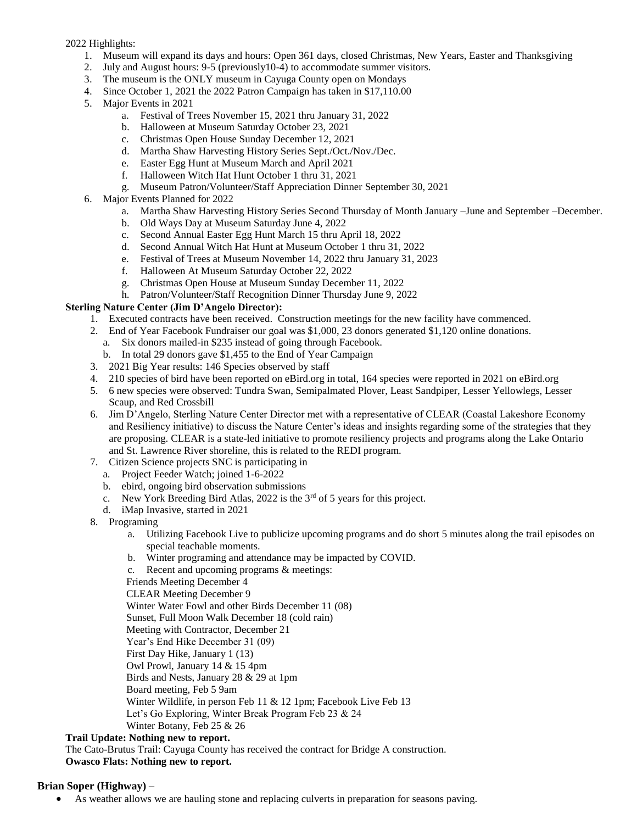2022 Highlights:

- 1. Museum will expand its days and hours: Open 361 days, closed Christmas, New Years, Easter and Thanksgiving
- 2. July and August hours: 9-5 (previously10-4) to accommodate summer visitors.
- 3. The museum is the ONLY museum in Cayuga County open on Mondays
- 4. Since October 1, 2021 the 2022 Patron Campaign has taken in \$17,110.00
- 5. Major Events in 2021
	- a. Festival of Trees November 15, 2021 thru January 31, 2022
	- b. Halloween at Museum Saturday October 23, 2021
	- c. Christmas Open House Sunday December 12, 2021
	- d. Martha Shaw Harvesting History Series Sept./Oct./Nov./Dec.
	- e. Easter Egg Hunt at Museum March and April 2021
	- f. Halloween Witch Hat Hunt October 1 thru 31, 2021
	- g. Museum Patron/Volunteer/Staff Appreciation Dinner September 30, 2021
- 6. Major Events Planned for 2022
	- a. Martha Shaw Harvesting History Series Second Thursday of Month January –June and September –December.
	- b. Old Ways Day at Museum Saturday June 4, 2022
	- c. Second Annual Easter Egg Hunt March 15 thru April 18, 2022
	- d. Second Annual Witch Hat Hunt at Museum October 1 thru 31, 2022
	- e. Festival of Trees at Museum November 14, 2022 thru January 31, 2023
	- f. Halloween At Museum Saturday October 22, 2022
	- g. Christmas Open House at Museum Sunday December 11, 2022
	- h. Patron/Volunteer/Staff Recognition Dinner Thursday June 9, 2022

#### **Sterling Nature Center (Jim D'Angelo Director):**

- 1. Executed contracts have been received. Construction meetings for the new facility have commenced.
- 2. End of Year Facebook Fundraiser our goal was \$1,000, 23 donors generated \$1,120 online donations.
	- a. Six donors mailed-in \$235 instead of going through Facebook.
	- b. In total 29 donors gave \$1,455 to the End of Year Campaign
- 3. 2021 Big Year results: 146 Species observed by staff
- 4. 210 species of bird have been reported on eBird.org in total, 164 species were reported in 2021 on eBird.org
- 5. 6 new species were observed: Tundra Swan, Semipalmated Plover, Least Sandpiper, Lesser Yellowlegs, Lesser Scaup, and Red Crossbill
- 6. Jim D'Angelo, Sterling Nature Center Director met with a representative of CLEAR (Coastal Lakeshore Economy and Resiliency initiative) to discuss the Nature Center's ideas and insights regarding some of the strategies that they are proposing. CLEAR is a state-led initiative to promote resiliency projects and programs along the Lake Ontario and St. Lawrence River shoreline, this is related to the REDI program.
- 7. Citizen Science projects SNC is participating in
- a. Project Feeder Watch; joined 1-6-2022
	- b. ebird, ongoing bird observation submissions
	- c. New York Breeding Bird Atlas, 2022 is the 3rd of 5 years for this project.
	- d. iMap Invasive, started in 2021
- 8. Programing
	- a. Utilizing Facebook Live to publicize upcoming programs and do short 5 minutes along the trail episodes on special teachable moments.
	- b. Winter programing and attendance may be impacted by COVID.
	- c. Recent and upcoming programs & meetings:

Friends Meeting December 4

CLEAR Meeting December 9

Winter Water Fowl and other Birds December 11 (08)

Sunset, Full Moon Walk December 18 (cold rain)

- Meeting with Contractor, December 21
- Year's End Hike December 31 (09)
- First Day Hike, January 1 (13)
- Owl Prowl, January 14 & 15 4pm
- Birds and Nests, January 28 & 29 at 1pm
- Board meeting, Feb 5 9am
- Winter Wildlife, in person Feb 11 & 12 1pm; Facebook Live Feb 13
- Let's Go Exploring, Winter Break Program Feb 23 & 24

# Winter Botany, Feb 25 & 26

# **Trail Update: Nothing new to report.**

The Cato-Brutus Trail: Cayuga County has received the contract for Bridge A construction.

# **Owasco Flats: Nothing new to report.**

# **Brian Soper (Highway) –**

As weather allows we are hauling stone and replacing culverts in preparation for seasons paving.